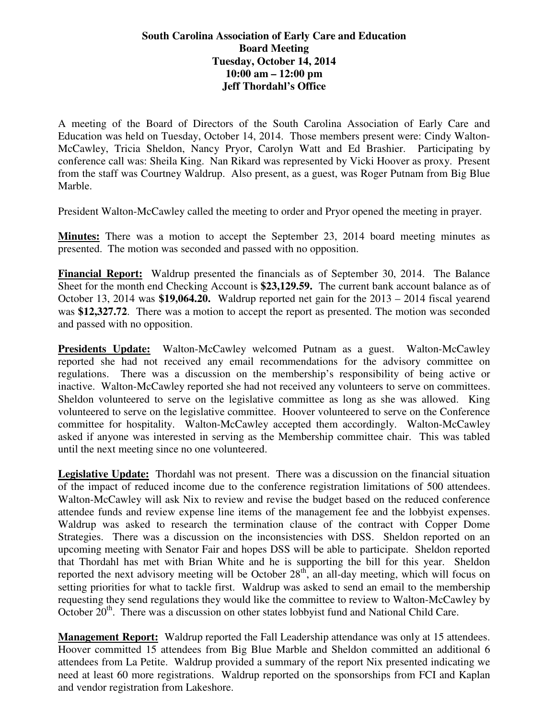## **South Carolina Association of Early Care and Education Board Meeting Tuesday, October 14, 2014 10:00 am – 12:00 pm Jeff Thordahl's Office**

A meeting of the Board of Directors of the South Carolina Association of Early Care and Education was held on Tuesday, October 14, 2014. Those members present were: Cindy Walton-McCawley, Tricia Sheldon, Nancy Pryor, Carolyn Watt and Ed Brashier. Participating by conference call was: Sheila King. Nan Rikard was represented by Vicki Hoover as proxy. Present from the staff was Courtney Waldrup. Also present, as a guest, was Roger Putnam from Big Blue Marble.

President Walton-McCawley called the meeting to order and Pryor opened the meeting in prayer.

**Minutes:** There was a motion to accept the September 23, 2014 board meeting minutes as presented. The motion was seconded and passed with no opposition.

**Financial Report:** Waldrup presented the financials as of September 30, 2014. The Balance Sheet for the month end Checking Account is **\$23,129.59.** The current bank account balance as of October 13, 2014 was **\$19,064.20.** Waldrup reported net gain for the 2013 – 2014 fiscal yearend was \$12,327.72. There was a motion to accept the report as presented. The motion was seconded and passed with no opposition.

**Presidents Update:** Walton-McCawley welcomed Putnam as a guest. Walton-McCawley reported she had not received any email recommendations for the advisory committee on regulations. There was a discussion on the membership's responsibility of being active or inactive. Walton-McCawley reported she had not received any volunteers to serve on committees. Sheldon volunteered to serve on the legislative committee as long as she was allowed. King volunteered to serve on the legislative committee. Hoover volunteered to serve on the Conference committee for hospitality. Walton-McCawley accepted them accordingly. Walton-McCawley asked if anyone was interested in serving as the Membership committee chair. This was tabled until the next meeting since no one volunteered.

**Legislative Update:** Thordahl was not present. There was a discussion on the financial situation of the impact of reduced income due to the conference registration limitations of 500 attendees. Walton-McCawley will ask Nix to review and revise the budget based on the reduced conference attendee funds and review expense line items of the management fee and the lobbyist expenses. Waldrup was asked to research the termination clause of the contract with Copper Dome Strategies. There was a discussion on the inconsistencies with DSS. Sheldon reported on an upcoming meeting with Senator Fair and hopes DSS will be able to participate. Sheldon reported that Thordahl has met with Brian White and he is supporting the bill for this year. Sheldon reported the next advisory meeting will be October  $28<sup>th</sup>$ , an all-day meeting, which will focus on setting priorities for what to tackle first. Waldrup was asked to send an email to the membership requesting they send regulations they would like the committee to review to Walton-McCawley by October 20<sup>th</sup>. There was a discussion on other states lobbyist fund and National Child Care.

**Management Report:** Waldrup reported the Fall Leadership attendance was only at 15 attendees. Hoover committed 15 attendees from Big Blue Marble and Sheldon committed an additional 6 attendees from La Petite. Waldrup provided a summary of the report Nix presented indicating we need at least 60 more registrations. Waldrup reported on the sponsorships from FCI and Kaplan and vendor registration from Lakeshore.